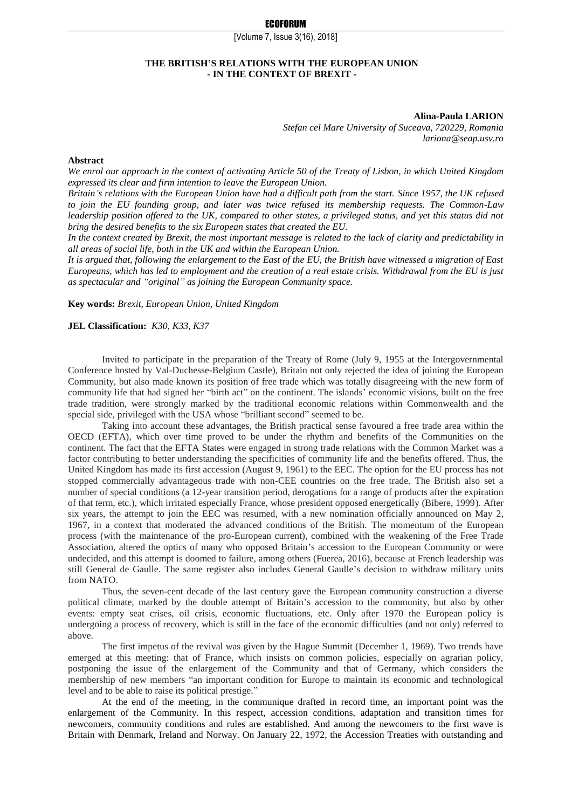[Volume 7, Issue 3(16), 2018]

## **THE BRITISH'S RELATIONS WITH THE EUROPEAN UNION - IN THE CONTEXT OF BREXIT -**

**Alina-Paula LARION**

*Stefan cel Mare University of Suceava, 720229, Romania lariona@seap.usv.ro*

#### **Abstract**

*We enrol our approach in the context of activating Article 50 of the Treaty of Lisbon, in which United Kingdom expressed its clear and firm intention to leave the European Union.*

*Britain's relations with the European Union have had a difficult path from the start. Since 1957, the UK refused to join the EU founding group, and later was twice refused its membership requests. The Common-Law leadership position offered to the UK, compared to other states, a privileged status, and yet this status did not bring the desired benefits to the six European states that created the EU.*

*In the context created by Brexit, the most important message is related to the lack of clarity and predictability in all areas of social life, both in the UK and within the European Union.*

*It is argued that, following the enlargement to the East of the EU, the British have witnessed a migration of East Europeans, which has led to employment and the creation of a real estate crisis. Withdrawal from the EU is just as spectacular and "original" as joining the European Community space.*

**Key words:** *Brexit, European Union, United Kingdom*

#### **JEL Classification:** *K30, K33, K37*

Invited to participate in the preparation of the Treaty of Rome (July 9, 1955 at the Intergovernmental Conference hosted by Val-Duchesse-Belgium Castle), Britain not only rejected the idea of joining the European Community, but also made known its position of free trade which was totally disagreeing with the new form of community life that had signed her "birth act" on the continent. The islands' economic visions, built on the free trade tradition, were strongly marked by the traditional economic relations within Commonwealth and the special side, privileged with the USA whose "brilliant second" seemed to be.

Taking into account these advantages, the British practical sense favoured a free trade area within the OECD (EFTA), which over time proved to be under the rhythm and benefits of the Communities on the continent. The fact that the EFTA States were engaged in strong trade relations with the Common Market was a factor contributing to better understanding the specificities of community life and the benefits offered. Thus, the United Kingdom has made its first accession (August 9, 1961) to the EEC. The option for the EU process has not stopped commercially advantageous trade with non-CEE countries on the free trade. The British also set a number of special conditions (a 12-year transition period, derogations for a range of products after the expiration of that term, etc.), which irritated especially France, whose president opposed energetically (Bibere, 1999). After six years, the attempt to join the EEC was resumed, with a new nomination officially announced on May 2, 1967, in a context that moderated the advanced conditions of the British. The momentum of the European process (with the maintenance of the pro-European current), combined with the weakening of the Free Trade Association, altered the optics of many who opposed Britain's accession to the European Community or were undecided, and this attempt is doomed to failure, among others (Fuerea, 2016), because at French leadership was still General de Gaulle. The same register also includes General Gaulle's decision to withdraw military units from NATO.

Thus, the seven-cent decade of the last century gave the European community construction a diverse political climate, marked by the double attempt of Britain's accession to the community, but also by other events: empty seat crises, oil crisis, economic fluctuations, etc. Only after 1970 the European policy is undergoing a process of recovery, which is still in the face of the economic difficulties (and not only) referred to above.

The first impetus of the revival was given by the Hague Summit (December 1, 1969). Two trends have emerged at this meeting: that of France, which insists on common policies, especially on agrarian policy, postponing the issue of the enlargement of the Community and that of Germany, which considers the membership of new members "an important condition for Europe to maintain its economic and technological level and to be able to raise its political prestige."

At the end of the meeting, in the communique drafted in record time, an important point was the enlargement of the Community. In this respect, accession conditions, adaptation and transition times for newcomers, community conditions and rules are established. And among the newcomers to the first wave is Britain with Denmark, Ireland and Norway. On January 22, 1972, the Accession Treaties with outstanding and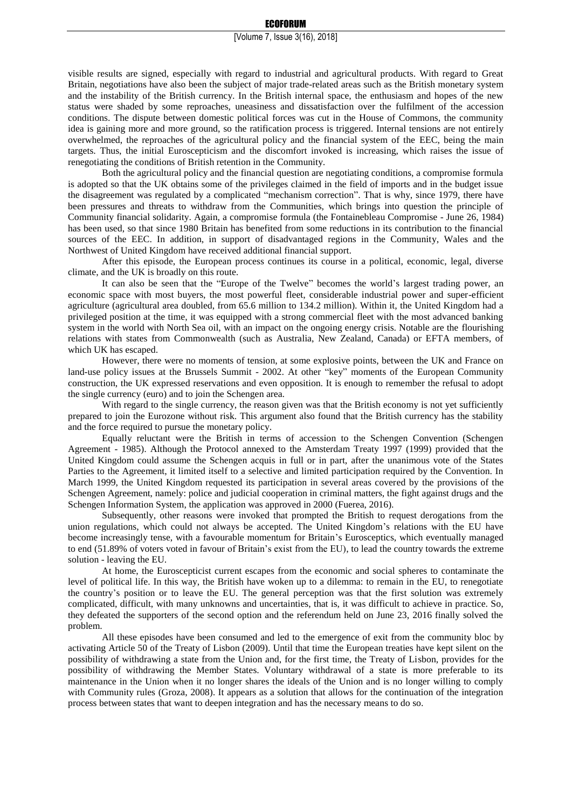# [Volume 7, Issue 3(16), 2018]

visible results are signed, especially with regard to industrial and agricultural products. With regard to Great Britain, negotiations have also been the subject of major trade-related areas such as the British monetary system and the instability of the British currency. In the British internal space, the enthusiasm and hopes of the new status were shaded by some reproaches, uneasiness and dissatisfaction over the fulfilment of the accession conditions. The dispute between domestic political forces was cut in the House of Commons, the community idea is gaining more and more ground, so the ratification process is triggered. Internal tensions are not entirely overwhelmed, the reproaches of the agricultural policy and the financial system of the EEC, being the main targets. Thus, the initial Euroscepticism and the discomfort invoked is increasing, which raises the issue of renegotiating the conditions of British retention in the Community.

Both the agricultural policy and the financial question are negotiating conditions, a compromise formula is adopted so that the UK obtains some of the privileges claimed in the field of imports and in the budget issue the disagreement was regulated by a complicated "mechanism correction". That is why, since 1979, there have been pressures and threats to withdraw from the Communities, which brings into question the principle of Community financial solidarity. Again, a compromise formula (the Fontainebleau Compromise - June 26, 1984) has been used, so that since 1980 Britain has benefited from some reductions in its contribution to the financial sources of the EEC. In addition, in support of disadvantaged regions in the Community, Wales and the Northwest of United Kingdom have received additional financial support.

After this episode, the European process continues its course in a political, economic, legal, diverse climate, and the UK is broadly on this route.

It can also be seen that the "Europe of the Twelve" becomes the world's largest trading power, an economic space with most buyers, the most powerful fleet, considerable industrial power and super-efficient agriculture (agricultural area doubled, from 65.6 million to 134.2 million). Within it, the United Kingdom had a privileged position at the time, it was equipped with a strong commercial fleet with the most advanced banking system in the world with North Sea oil, with an impact on the ongoing energy crisis. Notable are the flourishing relations with states from Commonwealth (such as Australia, New Zealand, Canada) or EFTA members, of which UK has escaped.

However, there were no moments of tension, at some explosive points, between the UK and France on land-use policy issues at the Brussels Summit - 2002. At other "key" moments of the European Community construction, the UK expressed reservations and even opposition. It is enough to remember the refusal to adopt the single currency (euro) and to join the Schengen area.

With regard to the single currency, the reason given was that the British economy is not yet sufficiently prepared to join the Eurozone without risk. This argument also found that the British currency has the stability and the force required to pursue the monetary policy.

Equally reluctant were the British in terms of accession to the Schengen Convention (Schengen Agreement - 1985). Although the Protocol annexed to the Amsterdam Treaty 1997 (1999) provided that the United Kingdom could assume the Schengen acquis in full or in part, after the unanimous vote of the States Parties to the Agreement, it limited itself to a selective and limited participation required by the Convention. In March 1999, the United Kingdom requested its participation in several areas covered by the provisions of the Schengen Agreement, namely: police and judicial cooperation in criminal matters, the fight against drugs and the Schengen Information System, the application was approved in 2000 (Fuerea, 2016).

Subsequently, other reasons were invoked that prompted the British to request derogations from the union regulations, which could not always be accepted. The United Kingdom's relations with the EU have become increasingly tense, with a favourable momentum for Britain's Eurosceptics, which eventually managed to end (51.89% of voters voted in favour of Britain's exist from the EU), to lead the country towards the extreme solution - leaving the EU.

At home, the Euroscepticist current escapes from the economic and social spheres to contaminate the level of political life. In this way, the British have woken up to a dilemma: to remain in the EU, to renegotiate the country's position or to leave the EU. The general perception was that the first solution was extremely complicated, difficult, with many unknowns and uncertainties, that is, it was difficult to achieve in practice. So, they defeated the supporters of the second option and the referendum held on June 23, 2016 finally solved the problem.

All these episodes have been consumed and led to the emergence of exit from the community bloc by activating Article 50 of the Treaty of Lisbon (2009). Until that time the European treaties have kept silent on the possibility of withdrawing a state from the Union and, for the first time, the Treaty of Lisbon, provides for the possibility of withdrawing the Member States. Voluntary withdrawal of a state is more preferable to its maintenance in the Union when it no longer shares the ideals of the Union and is no longer willing to comply with Community rules (Groza, 2008). It appears as a solution that allows for the continuation of the integration process between states that want to deepen integration and has the necessary means to do so.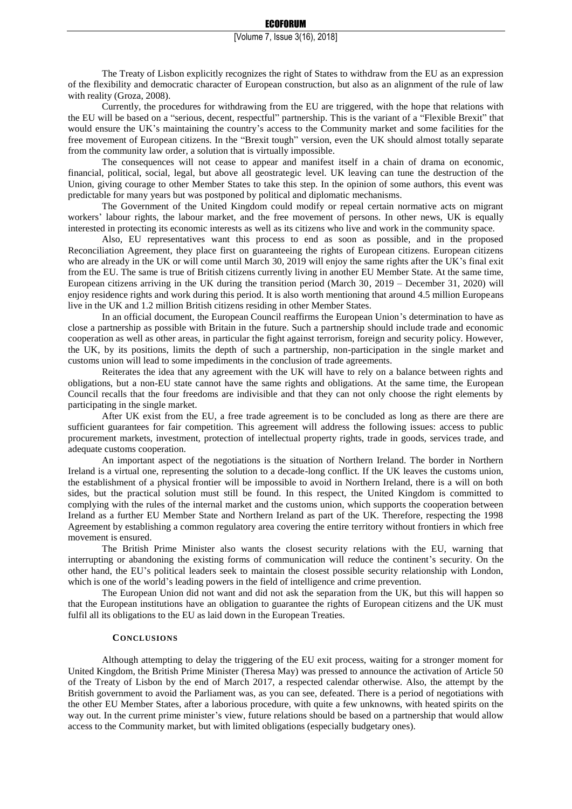The Treaty of Lisbon explicitly recognizes the right of States to withdraw from the EU as an expression of the flexibility and democratic character of European construction, but also as an alignment of the rule of law with reality (Groza, 2008).

Currently, the procedures for withdrawing from the EU are triggered, with the hope that relations with the EU will be based on a "serious, decent, respectful" partnership. This is the variant of a "Flexible Brexit" that would ensure the UK's maintaining the country's access to the Community market and some facilities for the free movement of European citizens. In the "Brexit tough" version, even the UK should almost totally separate from the community law order, a solution that is virtually impossible.

The consequences will not cease to appear and manifest itself in a chain of drama on economic, financial, political, social, legal, but above all geostrategic level. UK leaving can tune the destruction of the Union, giving courage to other Member States to take this step. In the opinion of some authors, this event was predictable for many years but was postponed by political and diplomatic mechanisms.

The Government of the United Kingdom could modify or repeal certain normative acts on migrant workers' labour rights, the labour market, and the free movement of persons. In other news, UK is equally interested in protecting its economic interests as well as its citizens who live and work in the community space.

Also, EU representatives want this process to end as soon as possible, and in the proposed Reconciliation Agreement, they place first on guaranteeing the rights of European citizens. European citizens who are already in the UK or will come until March 30, 2019 will enjoy the same rights after the UK's final exit from the EU. The same is true of British citizens currently living in another EU Member State. At the same time, European citizens arriving in the UK during the transition period (March 30, 2019 – December 31, 2020) will enjoy residence rights and work during this period. It is also worth mentioning that around 4.5 million Europeans live in the UK and 1.2 million British citizens residing in other Member States.

In an official document, the European Council reaffirms the European Union's determination to have as close a partnership as possible with Britain in the future. Such a partnership should include trade and economic cooperation as well as other areas, in particular the fight against terrorism, foreign and security policy. However, the UK, by its positions, limits the depth of such a partnership, non-participation in the single market and customs union will lead to some impediments in the conclusion of trade agreements.

Reiterates the idea that any agreement with the UK will have to rely on a balance between rights and obligations, but a non-EU state cannot have the same rights and obligations. At the same time, the European Council recalls that the four freedoms are indivisible and that they can not only choose the right elements by participating in the single market.

After UK exist from the EU, a free trade agreement is to be concluded as long as there are there are sufficient guarantees for fair competition. This agreement will address the following issues: access to public procurement markets, investment, protection of intellectual property rights, trade in goods, services trade, and adequate customs cooperation.

An important aspect of the negotiations is the situation of Northern Ireland. The border in Northern Ireland is a virtual one, representing the solution to a decade-long conflict. If the UK leaves the customs union, the establishment of a physical frontier will be impossible to avoid in Northern Ireland, there is a will on both sides, but the practical solution must still be found. In this respect, the United Kingdom is committed to complying with the rules of the internal market and the customs union, which supports the cooperation between Ireland as a further EU Member State and Northern Ireland as part of the UK. Therefore, respecting the 1998 Agreement by establishing a common regulatory area covering the entire territory without frontiers in which free movement is ensured.

The British Prime Minister also wants the closest security relations with the EU, warning that interrupting or abandoning the existing forms of communication will reduce the continent's security. On the other hand, the EU's political leaders seek to maintain the closest possible security relationship with London, which is one of the world's leading powers in the field of intelligence and crime prevention.

The European Union did not want and did not ask the separation from the UK, but this will happen so that the European institutions have an obligation to guarantee the rights of European citizens and the UK must fulfil all its obligations to the EU as laid down in the European Treaties.

## **CONCLUSIONS**

Although attempting to delay the triggering of the EU exit process, waiting for a stronger moment for United Kingdom, the British Prime Minister (Theresa May) was pressed to announce the activation of Article 50 of the Treaty of Lisbon by the end of March 2017, a respected calendar otherwise. Also, the attempt by the British government to avoid the Parliament was, as you can see, defeated. There is a period of negotiations with the other EU Member States, after a laborious procedure, with quite a few unknowns, with heated spirits on the way out. In the current prime minister's view, future relations should be based on a partnership that would allow access to the Community market, but with limited obligations (especially budgetary ones).